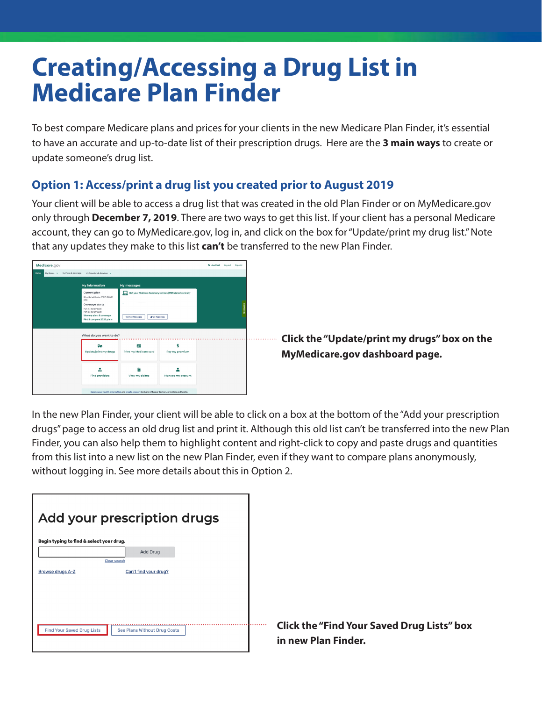## **Creating/Accessing a Drug List in Medicare Plan Finder**

To best compare Medicare plans and prices for your clients in the new Medicare Plan Finder, it's essential to have an accurate and up-to-date list of their prescription drugs. Here are the **3 main ways** to create or update someone's drug list.

## **Option 1: Access/print a drug list you created prior to August 2019**

Your client will be able to access a drug list that was created in the old Plan Finder or on MyMedicare.gov only through **December 7, 2019**. There are two ways to get this list. If your client has a personal Medicare account, they can go to MyMedicare.gov, log in, and click on the box for "Update/print my drug list." Note that any updates they make to this list **can't** be transferred to the new Plan Finder.



**Click the "Update/print my drugs" box on the MyMedicare.gov dashboard page.**

In the new Plan Finder, your client will be able to click on a box at the bottom of the "Add your prescription drugs" page to access an old drug list and print it. Although this old list can't be transferred into the new Plan Finder, you can also help them to highlight content and right-click to copy and paste drugs and quantities from this list into a new list on the new Plan Finder, even if they want to compare plans anonymously, without logging in. See more details about this in Option 2.

|  | <b>Click the "Find Your Saved Drug Lists" box</b><br>in new Plan Finder. |
|--|--------------------------------------------------------------------------|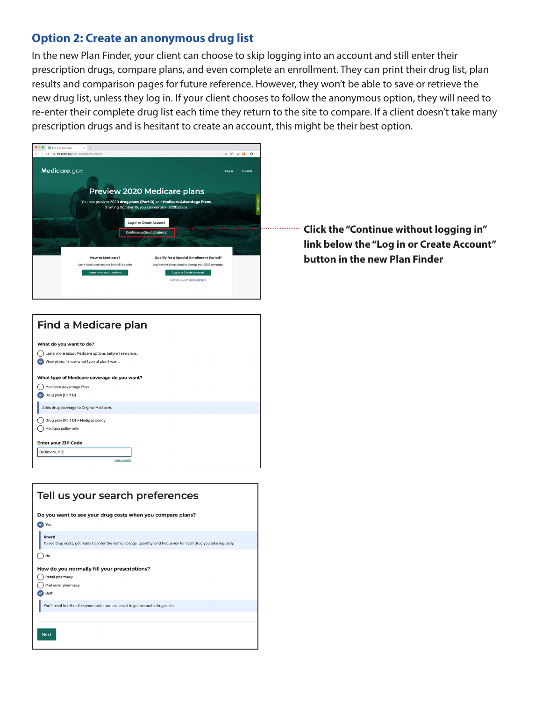## **Option 2: Create an anonymous drug list**

In the new Plan Finder, your client can choose to skip logging into an account and still enter their prescription drugs, compare plans, and even complete an enrollment. They can print their drug list, plan results and comparison pages for future reference. However, they won't be able to save or retrieve the new drug list, unless they log in. If your client chooses to follow the anonymous option, they will need to re-enter their complete drug list each time they return to the site to compare. If a client doesn't take many prescription drugs and is hesitant to create an account, this might be their best option.



**Click the "Continue without logging in" link below the "Log in or Create Account" button in the new Plan Finder**



| Tell us your search preferences                                                                                                    |
|------------------------------------------------------------------------------------------------------------------------------------|
| Do you want to see your drug costs when you compare plans?                                                                         |
| Yes                                                                                                                                |
| <b>Great!</b><br>To see drug costs, get ready to enter the name, dosage, quantity, and frequency for each drug you take regularly. |
| No                                                                                                                                 |
| How do you normally fill your prescriptions?                                                                                       |
| Retail pharmacy                                                                                                                    |
| Mail order pharmacy                                                                                                                |
| Both                                                                                                                               |
| You'll need to tell us the pharmacies you use most to get accurate drug costs.                                                     |
|                                                                                                                                    |
| <b>Next</b>                                                                                                                        |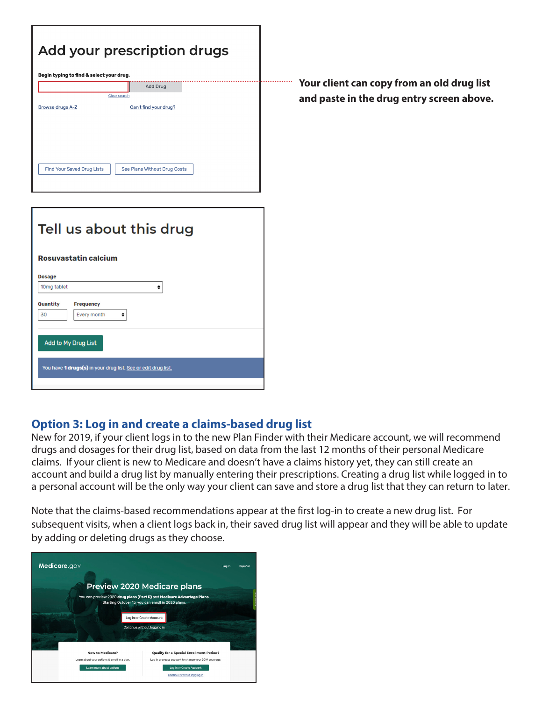|                                   | Add your prescription drugs<br>Begin typing to find & select your drug. |                              |  |
|-----------------------------------|-------------------------------------------------------------------------|------------------------------|--|
|                                   |                                                                         | <b>Add Drug</b>              |  |
|                                   | Clear search                                                            |                              |  |
| <b>Browse drugs A-Z</b>           |                                                                         | Can't find your drug?        |  |
|                                   |                                                                         |                              |  |
|                                   |                                                                         |                              |  |
|                                   |                                                                         |                              |  |
| <b>Find Your Saved Drug Lists</b> |                                                                         | See Plans Without Drug Costs |  |
|                                   |                                                                         |                              |  |
|                                   |                                                                         |                              |  |

| Tell us about this drug                                       |
|---------------------------------------------------------------|
| <b>Rosuvastatin calcium</b>                                   |
| <b>Dosage</b>                                                 |
| 10mg tablet<br>♦                                              |
| <b>Quantity</b><br><b>Frequency</b><br>30<br>Every month<br>٠ |
| <b>Add to My Drug List</b>                                    |
| You have 1 drugs(s) in your drug list. See or edit drug list. |
|                                                               |

**Your client can copy from an old drug list and paste in the drug entry screen above.**

## **Option 3: Log in and create a claims-based drug list**

New for 2019, if your client logs in to the new Plan Finder with their Medicare account, we will recommend drugs and dosages for their drug list, based on data from the last 12 months of their personal Medicare claims. If your client is new to Medicare and doesn't have a claims history yet, they can still create an account and build a drug list by manually entering their prescriptions. Creating a drug list while logged in to a personal account will be the only way your client can save and store a drug list that they can return to later.

. . . . . . . . . . . . . . . . . .

Note that the claims-based recommendations appear at the first log-in to create a new drug list. For subsequent visits, when a client logs back in, their saved drug list will appear and they will be able to update by adding or deleting drugs as they choose.